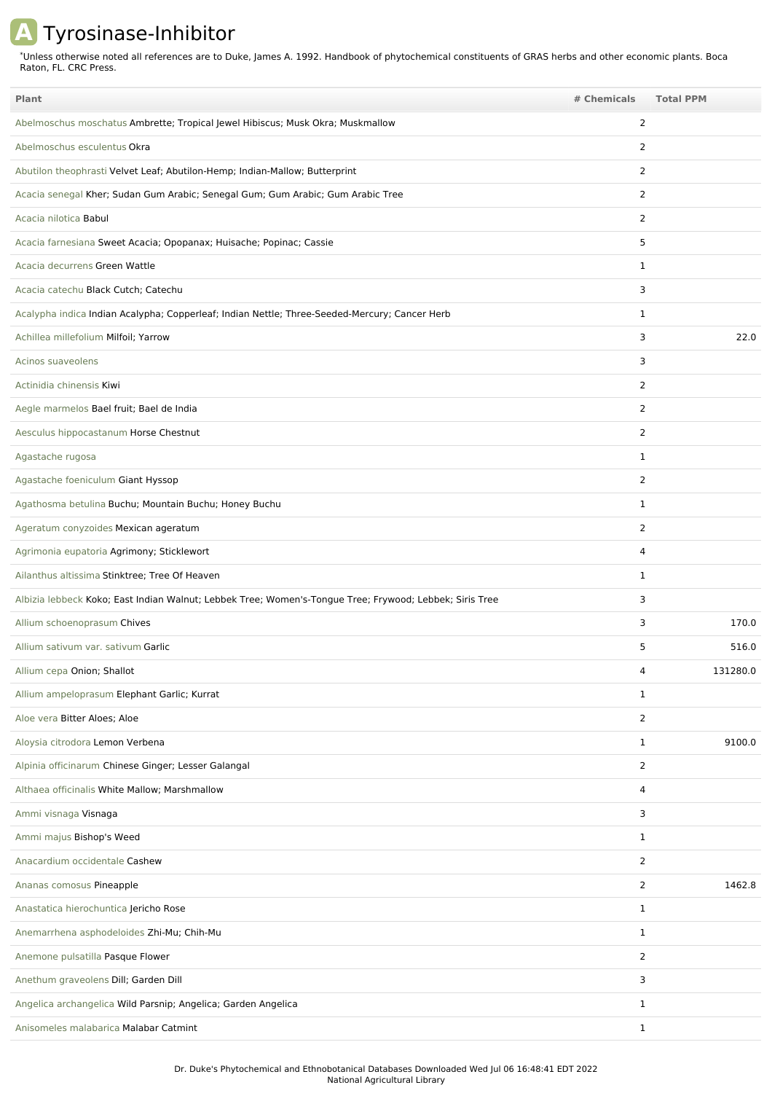## **A** Tyrosinase-Inhibitor

Unless otherwise noted all references are to Duke, James A. 1992. Handbook of phytochemical constituents of GRAS herbs and other economic plants. Boca Raton, FL. CRC Press. \*

| <b>Plant</b>                                                                                            | # Chemicals    | <b>Total PPM</b> |
|---------------------------------------------------------------------------------------------------------|----------------|------------------|
| Abelmoschus moschatus Ambrette; Tropical Jewel Hibiscus; Musk Okra; Muskmallow                          | $\overline{2}$ |                  |
| Abelmoschus esculentus Okra                                                                             | 2              |                  |
| Abutilon theophrasti Velvet Leaf; Abutilon-Hemp; Indian-Mallow; Butterprint                             | 2              |                  |
| Acacia senegal Kher; Sudan Gum Arabic; Senegal Gum; Gum Arabic; Gum Arabic Tree                         | 2              |                  |
| Acacia nilotica Babul                                                                                   | 2              |                  |
| Acacia farnesiana Sweet Acacia; Opopanax; Huisache; Popinac; Cassie                                     | 5              |                  |
| Acacia decurrens Green Wattle                                                                           | 1              |                  |
| Acacia catechu Black Cutch; Catechu                                                                     | 3              |                  |
| Acalypha indica Indian Acalypha; Copperleaf; Indian Nettle; Three-Seeded-Mercury; Cancer Herb           | 1              |                  |
| Achillea millefolium Milfoil; Yarrow                                                                    | 3              | 22.0             |
| Acinos suaveolens                                                                                       | 3              |                  |
| Actinidia chinensis Kiwi                                                                                | $\overline{2}$ |                  |
| Aegle marmelos Bael fruit; Bael de India                                                                | 2              |                  |
| Aesculus hippocastanum Horse Chestnut                                                                   | $\overline{2}$ |                  |
| Agastache rugosa                                                                                        | $\mathbf{1}$   |                  |
| Agastache foeniculum Giant Hyssop                                                                       | 2              |                  |
| Agathosma betulina Buchu; Mountain Buchu; Honey Buchu                                                   | 1              |                  |
| Ageratum conyzoides Mexican ageratum                                                                    | $\overline{2}$ |                  |
| Agrimonia eupatoria Agrimony; Sticklewort                                                               | 4              |                  |
| Ailanthus altissima Stinktree; Tree Of Heaven                                                           | 1              |                  |
| Albizia lebbeck Koko; East Indian Walnut; Lebbek Tree; Women's-Tongue Tree; Frywood; Lebbek; Siris Tree | 3              |                  |
| Allium schoenoprasum Chives                                                                             | 3              | 170.0            |
| Allium sativum var. sativum Garlic                                                                      | 5              | 516.0            |
| Allium cepa Onion; Shallot                                                                              | 4              | 131280.0         |
| Allium ampeloprasum Elephant Garlic; Kurrat                                                             | $\mathbf{1}$   |                  |
| Aloe vera Bitter Aloes; Aloe                                                                            | 2              |                  |
| Aloysia citrodora Lemon Verbena                                                                         | $\mathbf{1}$   | 9100.0           |
| Alpinia officinarum Chinese Ginger; Lesser Galangal                                                     | 2              |                  |
| Althaea officinalis White Mallow; Marshmallow                                                           | 4              |                  |
| Ammi visnaga Visnaga                                                                                    | 3              |                  |
| Ammi majus Bishop's Weed                                                                                | $\mathbf{1}$   |                  |
| Anacardium occidentale Cashew                                                                           | $\overline{2}$ |                  |
| Ananas comosus Pineapple                                                                                | 2              | 1462.8           |
| Anastatica hierochuntica Jericho Rose                                                                   | $\mathbf{1}$   |                  |
| Anemarrhena asphodeloides Zhi-Mu; Chih-Mu                                                               | $\mathbf{1}$   |                  |
| Anemone pulsatilla Pasque Flower                                                                        | $\overline{2}$ |                  |
| Anethum graveolens Dill; Garden Dill                                                                    | 3              |                  |
| Angelica archangelica Wild Parsnip; Angelica; Garden Angelica                                           | $\mathbf{1}$   |                  |
| Anisomeles malabarica Malabar Catmint                                                                   | $\mathbf{1}$   |                  |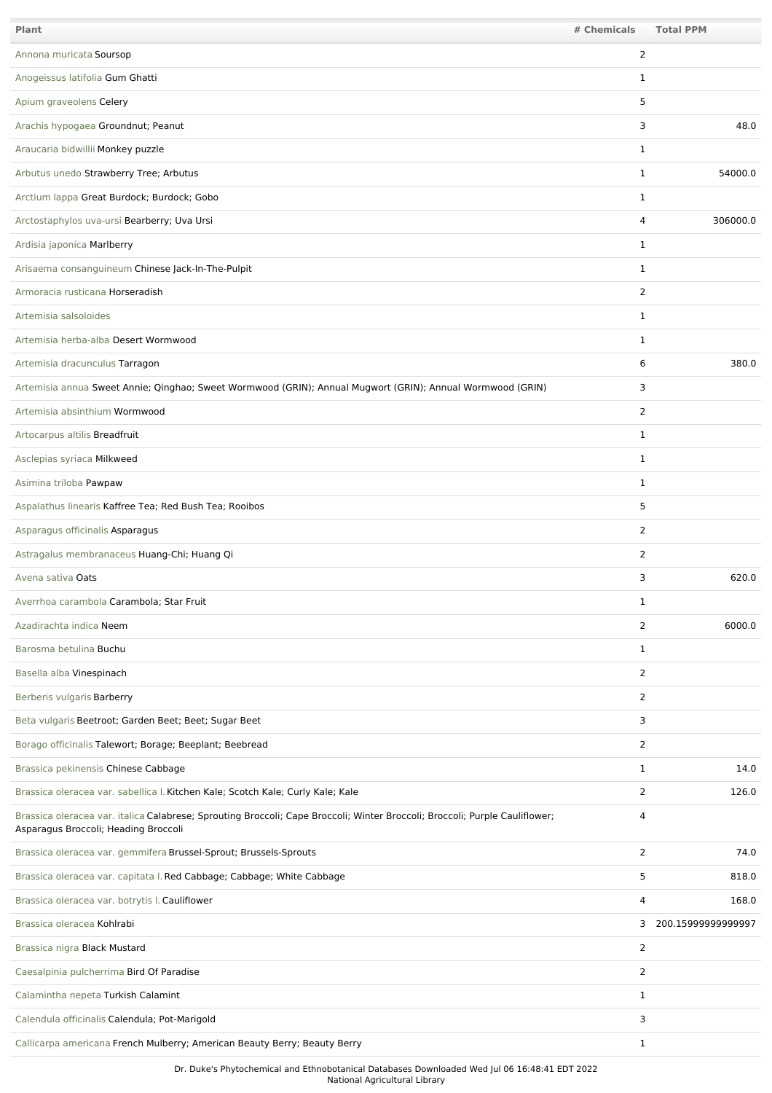| Plant                                                                                                                                                               | # Chemicals    | <b>Total PPM</b>     |
|---------------------------------------------------------------------------------------------------------------------------------------------------------------------|----------------|----------------------|
| Annona muricata Soursop                                                                                                                                             | 2              |                      |
| Anogeissus latifolia Gum Ghatti                                                                                                                                     | 1              |                      |
| Apium graveolens Celery                                                                                                                                             | 5              |                      |
| Arachis hypogaea Groundnut; Peanut                                                                                                                                  | 3              | 48.0                 |
| Araucaria bidwillii Monkey puzzle                                                                                                                                   | 1              |                      |
| Arbutus unedo Strawberry Tree; Arbutus                                                                                                                              | $\mathbf{1}$   | 54000.0              |
| Arctium lappa Great Burdock; Burdock; Gobo                                                                                                                          | 1              |                      |
| Arctostaphylos uva-ursi Bearberry; Uva Ursi                                                                                                                         | 4              | 306000.0             |
| Ardisia japonica Marlberry                                                                                                                                          | 1              |                      |
| Arisaema consanguineum Chinese Jack-In-The-Pulpit                                                                                                                   | $\mathbf{1}$   |                      |
| Armoracia rusticana Horseradish                                                                                                                                     | 2              |                      |
| Artemisia salsoloides                                                                                                                                               | 1              |                      |
| Artemisia herba-alba Desert Wormwood                                                                                                                                | 1              |                      |
| Artemisia dracunculus Tarragon                                                                                                                                      | 6              | 380.0                |
| Artemisia annua Sweet Annie; Qinghao; Sweet Wormwood (GRIN); Annual Mugwort (GRIN); Annual Wormwood (GRIN)                                                          | 3              |                      |
| Artemisia absinthium Wormwood                                                                                                                                       | 2              |                      |
| Artocarpus altilis Breadfruit                                                                                                                                       | $\mathbf{1}$   |                      |
| Asclepias syriaca Milkweed                                                                                                                                          | $\mathbf{1}$   |                      |
| Asimina triloba Pawpaw                                                                                                                                              | $\mathbf{1}$   |                      |
| Aspalathus linearis Kaffree Tea; Red Bush Tea; Rooibos                                                                                                              | 5              |                      |
| Asparagus officinalis Asparagus                                                                                                                                     | $\overline{2}$ |                      |
| Astragalus membranaceus Huang-Chi; Huang Qi                                                                                                                         | 2              |                      |
| Avena sativa Oats                                                                                                                                                   | 3              | 620.0                |
| Averrhoa carambola Carambola; Star Fruit                                                                                                                            | 1              |                      |
| Azadirachta indica Neem                                                                                                                                             | 2              | 6000.0               |
| Barosma betulina Buchu                                                                                                                                              | $\mathbf{1}$   |                      |
| Basella alba Vinespinach                                                                                                                                            | $\overline{2}$ |                      |
| Berberis vulgaris Barberry                                                                                                                                          | $\overline{2}$ |                      |
| Beta vulgaris Beetroot; Garden Beet; Beet; Sugar Beet                                                                                                               | 3              |                      |
| Borago officinalis Talewort; Borage; Beeplant; Beebread                                                                                                             | $\overline{2}$ |                      |
| Brassica pekinensis Chinese Cabbage                                                                                                                                 | $\mathbf{1}$   | 14.0                 |
| Brassica oleracea var. sabellica I. Kitchen Kale; Scotch Kale; Curly Kale; Kale                                                                                     | 2              | 126.0                |
| Brassica oleracea var. italica Calabrese; Sprouting Broccoli; Cape Broccoli; Winter Broccoli; Broccoli; Purple Cauliflower;<br>Asparagus Broccoli; Heading Broccoli | 4              |                      |
| Brassica oleracea var. gemmifera Brussel-Sprout; Brussels-Sprouts                                                                                                   | $\overline{2}$ | 74.0                 |
| Brassica oleracea var. capitata I. Red Cabbage; Cabbage; White Cabbage                                                                                              | 5              | 818.0                |
| Brassica oleracea var. botrytis I. Cauliflower                                                                                                                      | 4              | 168.0                |
| Brassica oleracea Kohlrabi                                                                                                                                          |                | 3 200.15999999999997 |
| Brassica nigra Black Mustard                                                                                                                                        | $\overline{2}$ |                      |
| Caesalpinia pulcherrima Bird Of Paradise                                                                                                                            | 2              |                      |
| Calamintha nepeta Turkish Calamint                                                                                                                                  | $\mathbf{1}$   |                      |
| Calendula officinalis Calendula; Pot-Marigold                                                                                                                       | 3              |                      |
| Callicarpa americana French Mulberry; American Beauty Berry; Beauty Berry                                                                                           | $\mathbf{1}$   |                      |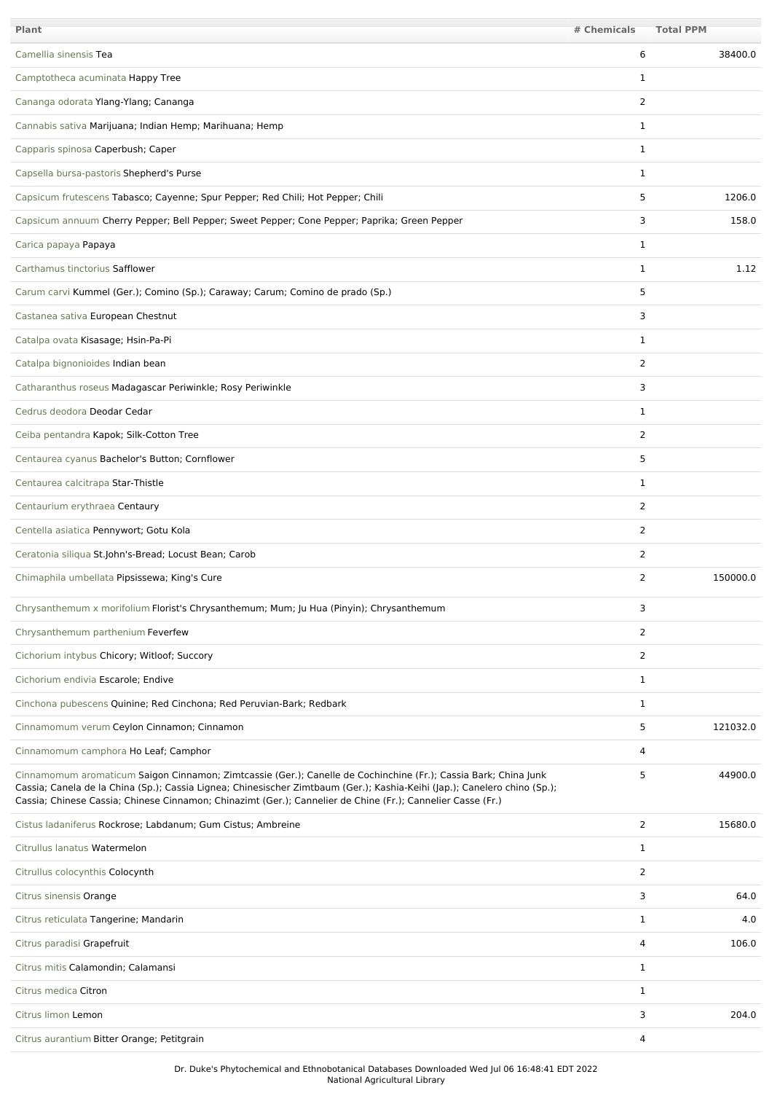| <b>Plant</b>                                                                                                                                                                                                                                                                                                                                                | # Chemicals    | <b>Total PPM</b> |
|-------------------------------------------------------------------------------------------------------------------------------------------------------------------------------------------------------------------------------------------------------------------------------------------------------------------------------------------------------------|----------------|------------------|
| Camellia sinensis Tea                                                                                                                                                                                                                                                                                                                                       | 6              | 38400.0          |
| Camptotheca acuminata Happy Tree                                                                                                                                                                                                                                                                                                                            | 1              |                  |
| Cananga odorata Ylang-Ylang; Cananga                                                                                                                                                                                                                                                                                                                        | $\overline{2}$ |                  |
| Cannabis sativa Marijuana; Indian Hemp; Marihuana; Hemp                                                                                                                                                                                                                                                                                                     | 1              |                  |
| Capparis spinosa Caperbush; Caper                                                                                                                                                                                                                                                                                                                           | 1              |                  |
| Capsella bursa-pastoris Shepherd's Purse                                                                                                                                                                                                                                                                                                                    | 1              |                  |
| Capsicum frutescens Tabasco; Cayenne; Spur Pepper; Red Chili; Hot Pepper; Chili                                                                                                                                                                                                                                                                             | 5              | 1206.0           |
| Capsicum annuum Cherry Pepper; Bell Pepper; Sweet Pepper; Cone Pepper; Paprika; Green Pepper                                                                                                                                                                                                                                                                | 3              | 158.0            |
| Carica papaya Papaya                                                                                                                                                                                                                                                                                                                                        | 1              |                  |
| Carthamus tinctorius Safflower                                                                                                                                                                                                                                                                                                                              | 1              | 1.12             |
| Carum carvi Kummel (Ger.); Comino (Sp.); Caraway; Carum; Comino de prado (Sp.)                                                                                                                                                                                                                                                                              | 5              |                  |
| Castanea sativa European Chestnut                                                                                                                                                                                                                                                                                                                           | 3              |                  |
| Catalpa ovata Kisasage; Hsin-Pa-Pi                                                                                                                                                                                                                                                                                                                          | 1              |                  |
| Catalpa bignonioides Indian bean                                                                                                                                                                                                                                                                                                                            | 2              |                  |
| Catharanthus roseus Madagascar Periwinkle; Rosy Periwinkle                                                                                                                                                                                                                                                                                                  | 3              |                  |
| Cedrus deodora Deodar Cedar                                                                                                                                                                                                                                                                                                                                 | $\mathbf{1}$   |                  |
| Ceiba pentandra Kapok; Silk-Cotton Tree                                                                                                                                                                                                                                                                                                                     | 2              |                  |
| Centaurea cyanus Bachelor's Button; Cornflower                                                                                                                                                                                                                                                                                                              | 5              |                  |
| Centaurea calcitrapa Star-Thistle                                                                                                                                                                                                                                                                                                                           | $\mathbf{1}$   |                  |
| Centaurium erythraea Centaury                                                                                                                                                                                                                                                                                                                               | 2              |                  |
| Centella asiatica Pennywort; Gotu Kola                                                                                                                                                                                                                                                                                                                      | 2              |                  |
| Ceratonia siliqua St.John's-Bread; Locust Bean; Carob                                                                                                                                                                                                                                                                                                       | 2              |                  |
| Chimaphila umbellata Pipsissewa; King's Cure                                                                                                                                                                                                                                                                                                                | $\overline{2}$ | 150000.0         |
| Chrysanthemum x morifolium Florist's Chrysanthemum; Mum; Ju Hua (Pinyin); Chrysanthemum                                                                                                                                                                                                                                                                     | 3              |                  |
| Chrysanthemum parthenium Feverfew                                                                                                                                                                                                                                                                                                                           | 2              |                  |
| Cichorium intybus Chicory; Witloof; Succory                                                                                                                                                                                                                                                                                                                 | $\overline{2}$ |                  |
| Cichorium endivia Escarole; Endive                                                                                                                                                                                                                                                                                                                          | $\mathbf{1}$   |                  |
| Cinchona pubescens Quinine; Red Cinchona; Red Peruvian-Bark; Redbark                                                                                                                                                                                                                                                                                        | $\mathbf{1}$   |                  |
| Cinnamomum verum Ceylon Cinnamon; Cinnamon                                                                                                                                                                                                                                                                                                                  | 5              | 121032.0         |
| Cinnamomum camphora Ho Leaf; Camphor                                                                                                                                                                                                                                                                                                                        | 4              |                  |
| Cinnamomum aromaticum Saigon Cinnamon; Zimtcassie (Ger.); Canelle de Cochinchine (Fr.); Cassia Bark; China Junk<br>Cassia; Canela de la China (Sp.); Cassia Lignea; Chinesischer Zimtbaum (Ger.); Kashia-Keihi (Jap.); Canelero chino (Sp.);<br>Cassia; Chinese Cassia; Chinese Cinnamon; Chinazimt (Ger.); Cannelier de Chine (Fr.); Cannelier Casse (Fr.) | 5              | 44900.0          |
| Cistus ladaniferus Rockrose; Labdanum; Gum Cistus; Ambreine                                                                                                                                                                                                                                                                                                 | $\overline{2}$ | 15680.0          |
| Citrullus lanatus Watermelon                                                                                                                                                                                                                                                                                                                                | $\mathbf{1}$   |                  |
| Citrullus colocynthis Colocynth                                                                                                                                                                                                                                                                                                                             | $\overline{2}$ |                  |
| Citrus sinensis Orange                                                                                                                                                                                                                                                                                                                                      | 3              | 64.0             |
| Citrus reticulata Tangerine; Mandarin                                                                                                                                                                                                                                                                                                                       | 1              | 4.0              |
| Citrus paradisi Grapefruit                                                                                                                                                                                                                                                                                                                                  | 4              | 106.0            |
| Citrus mitis Calamondin; Calamansi                                                                                                                                                                                                                                                                                                                          | 1              |                  |
| Citrus medica Citron                                                                                                                                                                                                                                                                                                                                        | $\mathbf{1}$   |                  |
| Citrus limon Lemon                                                                                                                                                                                                                                                                                                                                          | 3              | 204.0            |
| Citrus aurantium Bitter Orange; Petitgrain                                                                                                                                                                                                                                                                                                                  | 4              |                  |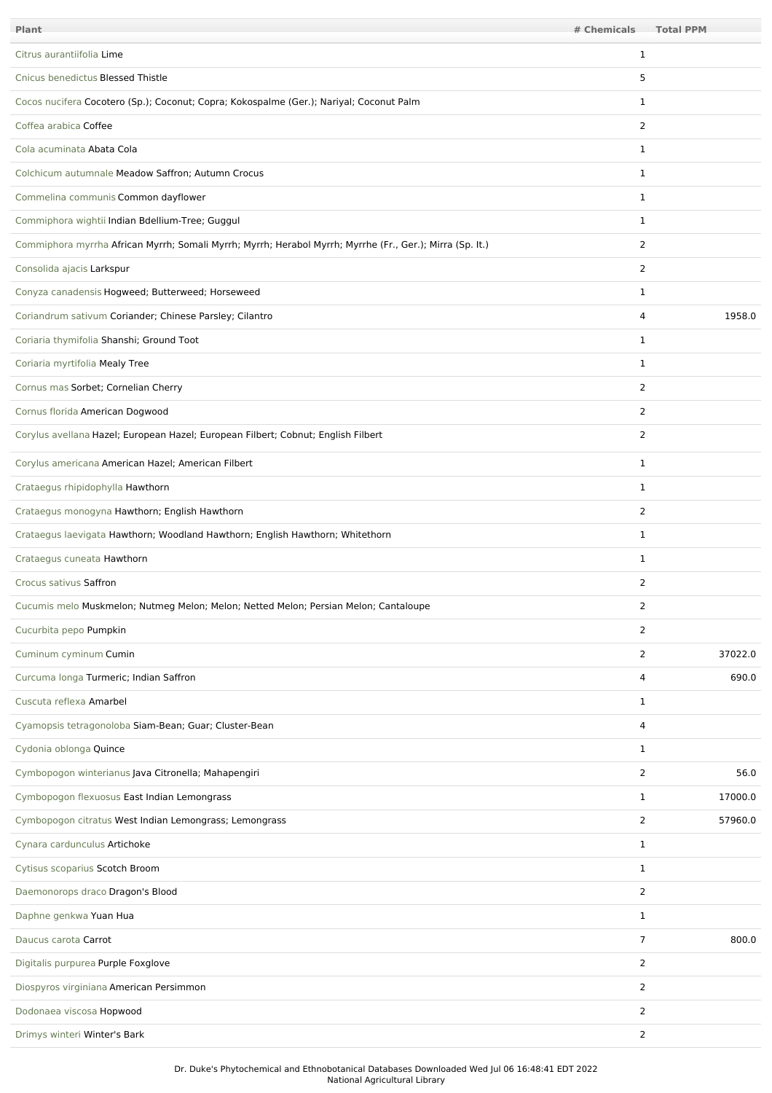| Plant                                                                                                    | # Chemicals    | <b>Total PPM</b> |         |
|----------------------------------------------------------------------------------------------------------|----------------|------------------|---------|
| Citrus aurantiifolia Lime                                                                                | 1              |                  |         |
| Cnicus benedictus Blessed Thistle                                                                        | 5              |                  |         |
| Cocos nucifera Cocotero (Sp.); Coconut; Copra; Kokospalme (Ger.); Nariyal; Coconut Palm                  | $\mathbf{1}$   |                  |         |
| Coffea arabica Coffee                                                                                    | 2              |                  |         |
| Cola acuminata Abata Cola                                                                                | $\mathbf{1}$   |                  |         |
| Colchicum autumnale Meadow Saffron; Autumn Crocus                                                        | $\mathbf{1}$   |                  |         |
| Commelina communis Common dayflower                                                                      | $\mathbf{1}$   |                  |         |
| Commiphora wightii Indian Bdellium-Tree; Guggul                                                          | $\mathbf{1}$   |                  |         |
| Commiphora myrrha African Myrrh; Somali Myrrh; Myrrh; Herabol Myrrh; Myrrhe (Fr., Ger.); Mirra (Sp. It.) | 2              |                  |         |
| Consolida ajacis Larkspur                                                                                | 2              |                  |         |
| Conyza canadensis Hogweed; Butterweed; Horseweed                                                         | $\mathbf{1}$   |                  |         |
| Coriandrum sativum Coriander; Chinese Parsley; Cilantro                                                  | 4              |                  | 1958.0  |
| Coriaria thymifolia Shanshi; Ground Toot                                                                 | $\mathbf{1}$   |                  |         |
| Coriaria myrtifolia Mealy Tree                                                                           | $\mathbf{1}$   |                  |         |
| Cornus mas Sorbet; Cornelian Cherry                                                                      | 2              |                  |         |
| Cornus florida American Dogwood                                                                          | 2              |                  |         |
| Corylus avellana Hazel; European Hazel; European Filbert; Cobnut; English Filbert                        | 2              |                  |         |
| Corylus americana American Hazel; American Filbert                                                       | $\mathbf{1}$   |                  |         |
| Crataegus rhipidophylla Hawthorn                                                                         | $\mathbf{1}$   |                  |         |
| Crataegus monogyna Hawthorn; English Hawthorn                                                            | 2              |                  |         |
| Crataegus laevigata Hawthorn; Woodland Hawthorn; English Hawthorn; Whitethorn                            | $\mathbf{1}$   |                  |         |
| Crataegus cuneata Hawthorn                                                                               | $\mathbf{1}$   |                  |         |
| Crocus sativus Saffron                                                                                   | $\overline{2}$ |                  |         |
| Cucumis melo Muskmelon; Nutmeg Melon; Melon; Netted Melon; Persian Melon; Cantaloupe                     | 2              |                  |         |
| Cucurbita pepo Pumpkin                                                                                   | $\overline{2}$ |                  |         |
| Cuminum cyminum Cumin                                                                                    | $\overline{2}$ |                  | 37022.0 |
| Curcuma longa Turmeric; Indian Saffron                                                                   | 4              |                  | 690.0   |
| Cuscuta reflexa Amarbel                                                                                  | $\mathbf{1}$   |                  |         |
| Cyamopsis tetragonoloba Siam-Bean; Guar; Cluster-Bean                                                    | 4              |                  |         |
| Cydonia oblonga Quince                                                                                   | $\mathbf{1}$   |                  |         |
| Cymbopogon winterianus Java Citronella; Mahapengiri                                                      | $\overline{2}$ |                  | 56.0    |
| Cymbopogon flexuosus East Indian Lemongrass                                                              | $\mathbf{1}$   |                  | 17000.0 |
| Cymbopogon citratus West Indian Lemongrass; Lemongrass                                                   | 2              |                  | 57960.0 |
| Cynara cardunculus Artichoke                                                                             | $\mathbf{1}$   |                  |         |
| Cytisus scoparius Scotch Broom                                                                           | $\mathbf{1}$   |                  |         |
| Daemonorops draco Dragon's Blood                                                                         | $\overline{2}$ |                  |         |
| Daphne genkwa Yuan Hua                                                                                   | $\mathbf{1}$   |                  |         |
| Daucus carota Carrot                                                                                     | 7              |                  | 800.0   |
| Digitalis purpurea Purple Foxglove                                                                       | $\overline{2}$ |                  |         |
| Diospyros virginiana American Persimmon                                                                  | $\overline{2}$ |                  |         |
| Dodonaea viscosa Hopwood                                                                                 | $\overline{2}$ |                  |         |
| Drimys winteri Winter's Bark                                                                             | $\overline{2}$ |                  |         |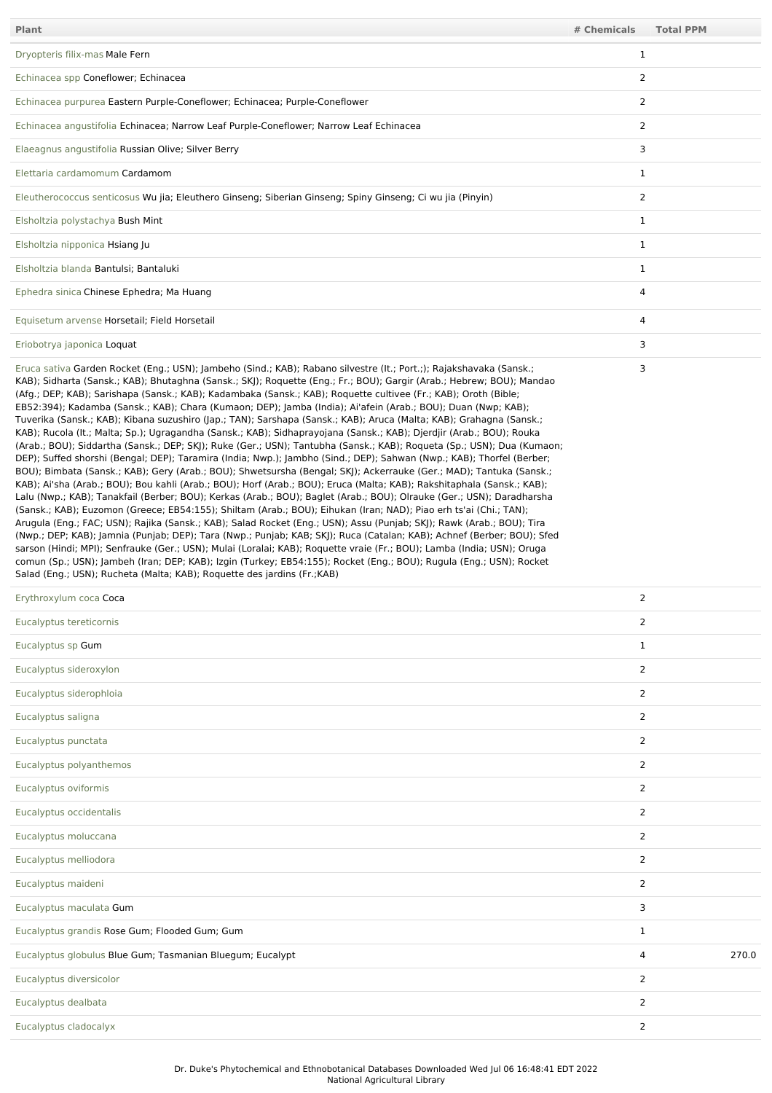| Plant                                                                                                                                                                                                                                                                                                                                                                                                                                                                                                                                                                                                                                                                                                                                                                                                                                                                                                                                                                                                                                                                                                                                                                                                                                                                                                                                                                                                                                                                                                                                                                                                                                                                                                                                                                                                                                                                                                                                                                                                                                                             | # Chemicals    | <b>Total PPM</b> |
|-------------------------------------------------------------------------------------------------------------------------------------------------------------------------------------------------------------------------------------------------------------------------------------------------------------------------------------------------------------------------------------------------------------------------------------------------------------------------------------------------------------------------------------------------------------------------------------------------------------------------------------------------------------------------------------------------------------------------------------------------------------------------------------------------------------------------------------------------------------------------------------------------------------------------------------------------------------------------------------------------------------------------------------------------------------------------------------------------------------------------------------------------------------------------------------------------------------------------------------------------------------------------------------------------------------------------------------------------------------------------------------------------------------------------------------------------------------------------------------------------------------------------------------------------------------------------------------------------------------------------------------------------------------------------------------------------------------------------------------------------------------------------------------------------------------------------------------------------------------------------------------------------------------------------------------------------------------------------------------------------------------------------------------------------------------------|----------------|------------------|
| Dryopteris filix-mas Male Fern                                                                                                                                                                                                                                                                                                                                                                                                                                                                                                                                                                                                                                                                                                                                                                                                                                                                                                                                                                                                                                                                                                                                                                                                                                                                                                                                                                                                                                                                                                                                                                                                                                                                                                                                                                                                                                                                                                                                                                                                                                    | $\mathbf{1}$   |                  |
| Echinacea spp Coneflower; Echinacea                                                                                                                                                                                                                                                                                                                                                                                                                                                                                                                                                                                                                                                                                                                                                                                                                                                                                                                                                                                                                                                                                                                                                                                                                                                                                                                                                                                                                                                                                                                                                                                                                                                                                                                                                                                                                                                                                                                                                                                                                               | $\overline{2}$ |                  |
| Echinacea purpurea Eastern Purple-Coneflower; Echinacea; Purple-Coneflower                                                                                                                                                                                                                                                                                                                                                                                                                                                                                                                                                                                                                                                                                                                                                                                                                                                                                                                                                                                                                                                                                                                                                                                                                                                                                                                                                                                                                                                                                                                                                                                                                                                                                                                                                                                                                                                                                                                                                                                        | $\overline{2}$ |                  |
| Echinacea angustifolia Echinacea; Narrow Leaf Purple-Coneflower; Narrow Leaf Echinacea                                                                                                                                                                                                                                                                                                                                                                                                                                                                                                                                                                                                                                                                                                                                                                                                                                                                                                                                                                                                                                                                                                                                                                                                                                                                                                                                                                                                                                                                                                                                                                                                                                                                                                                                                                                                                                                                                                                                                                            | $\overline{2}$ |                  |
| Elaeagnus angustifolia Russian Olive; Silver Berry                                                                                                                                                                                                                                                                                                                                                                                                                                                                                                                                                                                                                                                                                                                                                                                                                                                                                                                                                                                                                                                                                                                                                                                                                                                                                                                                                                                                                                                                                                                                                                                                                                                                                                                                                                                                                                                                                                                                                                                                                | 3              |                  |
| Elettaria cardamomum Cardamom                                                                                                                                                                                                                                                                                                                                                                                                                                                                                                                                                                                                                                                                                                                                                                                                                                                                                                                                                                                                                                                                                                                                                                                                                                                                                                                                                                                                                                                                                                                                                                                                                                                                                                                                                                                                                                                                                                                                                                                                                                     | $\mathbf{1}$   |                  |
| Eleutherococcus senticosus Wu jia; Eleuthero Ginseng; Siberian Ginseng; Spiny Ginseng; Ci wu jia (Pinyin)                                                                                                                                                                                                                                                                                                                                                                                                                                                                                                                                                                                                                                                                                                                                                                                                                                                                                                                                                                                                                                                                                                                                                                                                                                                                                                                                                                                                                                                                                                                                                                                                                                                                                                                                                                                                                                                                                                                                                         | $\overline{2}$ |                  |
| Elsholtzia polystachya Bush Mint                                                                                                                                                                                                                                                                                                                                                                                                                                                                                                                                                                                                                                                                                                                                                                                                                                                                                                                                                                                                                                                                                                                                                                                                                                                                                                                                                                                                                                                                                                                                                                                                                                                                                                                                                                                                                                                                                                                                                                                                                                  | $\mathbf{1}$   |                  |
| Elsholtzia nipponica Hsiang Ju                                                                                                                                                                                                                                                                                                                                                                                                                                                                                                                                                                                                                                                                                                                                                                                                                                                                                                                                                                                                                                                                                                                                                                                                                                                                                                                                                                                                                                                                                                                                                                                                                                                                                                                                                                                                                                                                                                                                                                                                                                    | $\mathbf{1}$   |                  |
| Elsholtzia blanda Bantulsi; Bantaluki                                                                                                                                                                                                                                                                                                                                                                                                                                                                                                                                                                                                                                                                                                                                                                                                                                                                                                                                                                                                                                                                                                                                                                                                                                                                                                                                                                                                                                                                                                                                                                                                                                                                                                                                                                                                                                                                                                                                                                                                                             | $\mathbf{1}$   |                  |
| Ephedra sinica Chinese Ephedra; Ma Huang                                                                                                                                                                                                                                                                                                                                                                                                                                                                                                                                                                                                                                                                                                                                                                                                                                                                                                                                                                                                                                                                                                                                                                                                                                                                                                                                                                                                                                                                                                                                                                                                                                                                                                                                                                                                                                                                                                                                                                                                                          | 4              |                  |
| Equisetum arvense Horsetail; Field Horsetail                                                                                                                                                                                                                                                                                                                                                                                                                                                                                                                                                                                                                                                                                                                                                                                                                                                                                                                                                                                                                                                                                                                                                                                                                                                                                                                                                                                                                                                                                                                                                                                                                                                                                                                                                                                                                                                                                                                                                                                                                      | 4              |                  |
| Eriobotrya japonica Loquat                                                                                                                                                                                                                                                                                                                                                                                                                                                                                                                                                                                                                                                                                                                                                                                                                                                                                                                                                                                                                                                                                                                                                                                                                                                                                                                                                                                                                                                                                                                                                                                                                                                                                                                                                                                                                                                                                                                                                                                                                                        | 3              |                  |
| Eruca sativa Garden Rocket (Eng.; USN); Jambeho (Sind.; KAB); Rabano silvestre (It.; Port.;); Rajakshavaka (Sansk.;<br>KAB); Sidharta (Sansk.; KAB); Bhutaghna (Sansk.; SKJ); Roquette (Eng.; Fr.; BOU); Gargir (Arab.; Hebrew; BOU); Mandao<br>(Afg.; DEP; KAB); Sarishapa (Sansk.; KAB); Kadambaka (Sansk.; KAB); Roquette cultivee (Fr.; KAB); Oroth (Bible;<br>EB52:394); Kadamba (Sansk.; KAB); Chara (Kumaon; DEP); Jamba (India); Ai'afein (Arab.; BOU); Duan (Nwp; KAB);<br>Tuverika (Sansk.; KAB); Kibana suzushiro (Jap.; TAN); Sarshapa (Sansk.; KAB); Aruca (Malta; KAB); Grahagna (Sansk.;<br>KAB); Rucola (It.; Malta; Sp.); Ugragandha (Sansk.; KAB); Sidhaprayojana (Sansk.; KAB); Djerdjir (Arab.; BOU); Rouka<br>(Arab.; BOU); Siddartha (Sansk.; DEP; SKJ); Ruke (Ger.; USN); Tantubha (Sansk.; KAB); Roqueta (Sp.; USN); Dua (Kumaon;<br>DEP); Suffed shorshi (Bengal; DEP); Taramira (India; Nwp.); Jambho (Sind.; DEP); Sahwan (Nwp.; KAB); Thorfel (Berber;<br>BOU); Bimbata (Sansk.; KAB); Gery (Arab.; BOU); Shwetsursha (Bengal; SKJ); Ackerrauke (Ger.; MAD); Tantuka (Sansk.;<br>KAB); Ai'sha (Arab.; BOU); Bou kahli (Arab.; BOU); Horf (Arab.; BOU); Eruca (Malta; KAB); Rakshitaphala (Sansk.; KAB);<br>Lalu (Nwp.; KAB); Tanakfail (Berber; BOU); Kerkas (Arab.; BOU); Baglet (Arab.; BOU); Olrauke (Ger.; USN); Daradharsha<br>(Sansk.; KAB); Euzomon (Greece; EB54:155); Shiltam (Arab.; BOU); Eihukan (Iran; NAD); Piao erh ts'ai (Chi.; TAN);<br>Arugula (Eng.; FAC; USN); Rajika (Sansk.; KAB); Salad Rocket (Eng.; USN); Assu (Punjab; SKJ); Rawk (Arab.; BOU); Tira<br>(Nwp.; DEP; KAB); Jamnia (Punjab; DEP); Tara (Nwp.; Punjab; KAB; SKJ); Ruca (Catalan; KAB); Achnef (Berber; BOU); Sfed<br>sarson (Hindi; MPI); Senfrauke (Ger.; USN); Mulai (Loralai; KAB); Roquette vraie (Fr.; BOU); Lamba (India; USN); Oruga<br>comun (Sp.; USN); Jambeh (Iran; DEP; KAB); Izgin (Turkey; EB54:155); Rocket (Eng.; BOU); Rugula (Eng.; USN); Rocket<br>Salad (Eng.; USN); Rucheta (Malta; KAB); Roquette des jardins (Fr.; KAB) | 3              |                  |
| Erythroxylum coca Coca                                                                                                                                                                                                                                                                                                                                                                                                                                                                                                                                                                                                                                                                                                                                                                                                                                                                                                                                                                                                                                                                                                                                                                                                                                                                                                                                                                                                                                                                                                                                                                                                                                                                                                                                                                                                                                                                                                                                                                                                                                            | $\overline{2}$ |                  |
| Eucalyptus toroticornic                                                                                                                                                                                                                                                                                                                                                                                                                                                                                                                                                                                                                                                                                                                                                                                                                                                                                                                                                                                                                                                                                                                                                                                                                                                                                                                                                                                                                                                                                                                                                                                                                                                                                                                                                                                                                                                                                                                                                                                                                                           | C.             |                  |

| Eucalyptus tereticornis                                   | 2              |       |
|-----------------------------------------------------------|----------------|-------|
| Eucalyptus sp Gum                                         | 1              |       |
| Eucalyptus sideroxylon                                    | 2              |       |
| Eucalyptus siderophloia                                   | 2              |       |
| Eucalyptus saligna                                        | $\overline{2}$ |       |
| Eucalyptus punctata                                       | $\overline{2}$ |       |
| Eucalyptus polyanthemos                                   | 2              |       |
| Eucalyptus oviformis                                      | 2              |       |
| Eucalyptus occidentalis                                   | 2              |       |
| Eucalyptus moluccana                                      | 2              |       |
| Eucalyptus melliodora                                     | $\overline{2}$ |       |
| Eucalyptus maideni                                        | 2              |       |
| Eucalyptus maculata Gum                                   | 3              |       |
| Eucalyptus grandis Rose Gum; Flooded Gum; Gum             | $\mathbf{1}$   |       |
| Eucalyptus globulus Blue Gum; Tasmanian Bluegum; Eucalypt | $\overline{4}$ | 270.0 |
| Eucalyptus diversicolor                                   | 2              |       |
| Eucalyptus dealbata                                       | 2              |       |
| Eucalyptus cladocalyx                                     | 2              |       |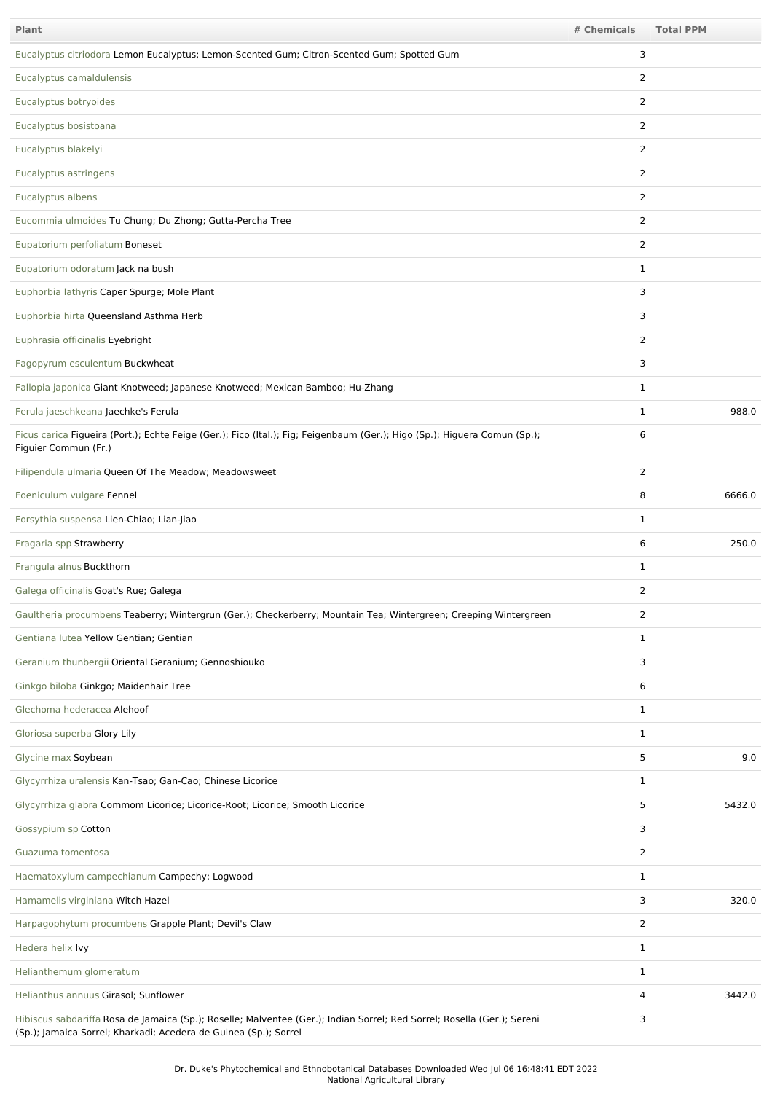| <b>Plant</b>                                                                                                                                                                                | # Chemicals    | <b>Total PPM</b> |
|---------------------------------------------------------------------------------------------------------------------------------------------------------------------------------------------|----------------|------------------|
| Eucalyptus citriodora Lemon Eucalyptus; Lemon-Scented Gum; Citron-Scented Gum; Spotted Gum                                                                                                  | 3              |                  |
| Eucalyptus camaldulensis                                                                                                                                                                    | 2              |                  |
| Eucalyptus botryoides                                                                                                                                                                       | 2              |                  |
| Eucalyptus bosistoana                                                                                                                                                                       | 2              |                  |
| Eucalyptus blakelyi                                                                                                                                                                         | 2              |                  |
| Eucalyptus astringens                                                                                                                                                                       | 2              |                  |
| Eucalyptus albens                                                                                                                                                                           | 2              |                  |
| Eucommia ulmoides Tu Chung; Du Zhong; Gutta-Percha Tree                                                                                                                                     | $\overline{2}$ |                  |
| Eupatorium perfoliatum Boneset                                                                                                                                                              | 2              |                  |
| Eupatorium odoratum Jack na bush                                                                                                                                                            | 1              |                  |
| Euphorbia lathyris Caper Spurge; Mole Plant                                                                                                                                                 | 3              |                  |
| Euphorbia hirta Queensland Asthma Herb                                                                                                                                                      | 3              |                  |
| Euphrasia officinalis Eyebright                                                                                                                                                             | 2              |                  |
| Fagopyrum esculentum Buckwheat                                                                                                                                                              | 3              |                  |
| Fallopia japonica Giant Knotweed; Japanese Knotweed; Mexican Bamboo; Hu-Zhang                                                                                                               | 1              |                  |
| Ferula jaeschkeana Jaechke's Ferula                                                                                                                                                         | 1              | 988.0            |
| Ficus carica Figueira (Port.); Echte Feige (Ger.); Fico (Ital.); Fig; Feigenbaum (Ger.); Higo (Sp.); Higuera Comun (Sp.);<br>Figuier Commun (Fr.)                                           | 6              |                  |
| Filipendula ulmaria Queen Of The Meadow; Meadowsweet                                                                                                                                        | 2              |                  |
| Foeniculum vulgare Fennel                                                                                                                                                                   | 8              | 6666.0           |
| Forsythia suspensa Lien-Chiao; Lian-Jiao                                                                                                                                                    | 1              |                  |
| Fragaria spp Strawberry                                                                                                                                                                     | 6              | 250.0            |
| Frangula alnus Buckthorn                                                                                                                                                                    | $\mathbf{1}$   |                  |
| Galega officinalis Goat's Rue; Galega                                                                                                                                                       | 2              |                  |
| Gaultheria procumbens Teaberry; Wintergrun (Ger.); Checkerberry; Mountain Tea; Wintergreen; Creeping Wintergreen                                                                            | $\overline{2}$ |                  |
| Gentiana lutea Yellow Gentian; Gentian                                                                                                                                                      | $\mathbf{1}$   |                  |
| Geranium thunbergii Oriental Geranium; Gennoshiouko                                                                                                                                         | 3              |                  |
| Ginkgo biloba Ginkgo; Maidenhair Tree                                                                                                                                                       | 6              |                  |
| Glechoma hederacea Alehoof                                                                                                                                                                  | $\mathbf{1}$   |                  |
| Gloriosa superba Glory Lily                                                                                                                                                                 | $\mathbf{1}$   |                  |
| Glycine max Soybean                                                                                                                                                                         | 5              | 9.0              |
| Glycyrrhiza uralensis Kan-Tsao; Gan-Cao; Chinese Licorice                                                                                                                                   | $\mathbf{1}$   |                  |
| Glycyrrhiza glabra Commom Licorice; Licorice-Root; Licorice; Smooth Licorice                                                                                                                | 5              | 5432.0           |
| Gossypium sp Cotton                                                                                                                                                                         | 3              |                  |
| Guazuma tomentosa                                                                                                                                                                           | $\overline{2}$ |                  |
| Haematoxylum campechianum Campechy; Logwood                                                                                                                                                 | $\mathbf{1}$   |                  |
| Hamamelis virginiana Witch Hazel                                                                                                                                                            | 3              | 320.0            |
| Harpagophytum procumbens Grapple Plant; Devil's Claw                                                                                                                                        | $\overline{2}$ |                  |
| Hedera helix Ivy                                                                                                                                                                            | $\mathbf{1}$   |                  |
| Helianthemum glomeratum                                                                                                                                                                     | $\mathbf{1}$   |                  |
| Helianthus annuus Girasol; Sunflower                                                                                                                                                        | 4              | 3442.0           |
| Hibiscus sabdariffa Rosa de Jamaica (Sp.); Roselle; Malventee (Ger.); Indian Sorrel; Red Sorrel; Rosella (Ger.); Sereni<br>(Sp.); Jamaica Sorrel; Kharkadi; Acedera de Guinea (Sp.); Sorrel | 3              |                  |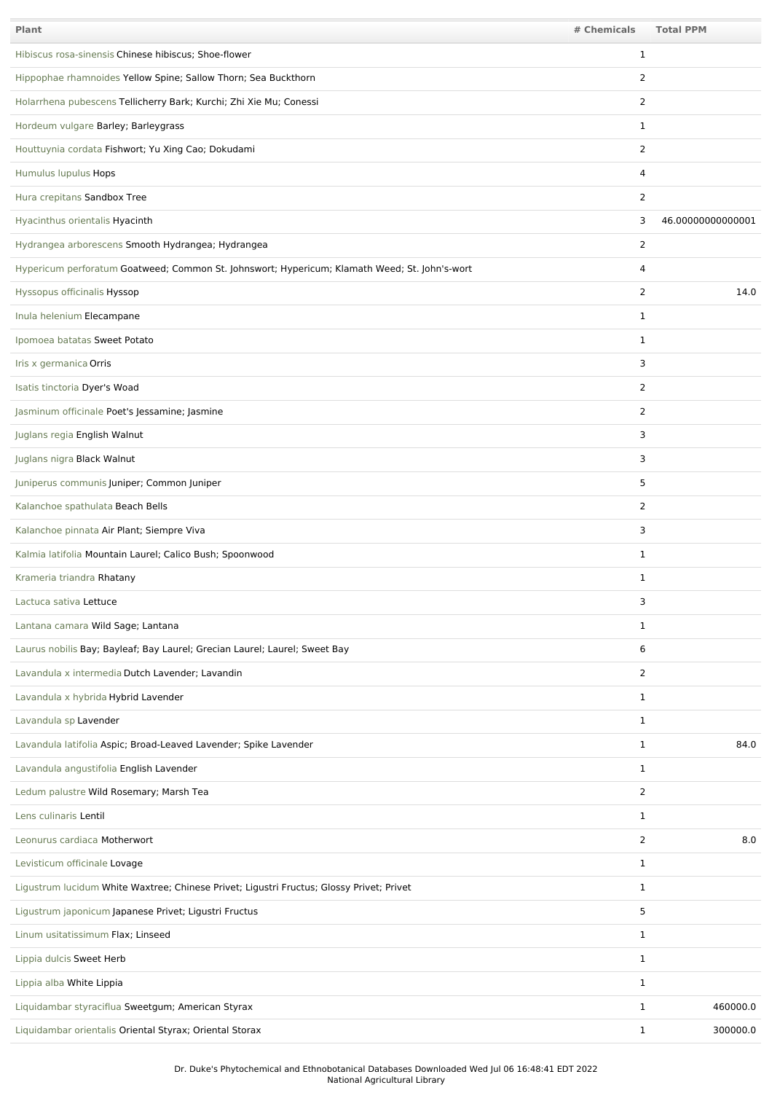| Plant                                                                                         | # Chemicals    | <b>Total PPM</b>  |
|-----------------------------------------------------------------------------------------------|----------------|-------------------|
| Hibiscus rosa-sinensis Chinese hibiscus; Shoe-flower                                          | 1              |                   |
| Hippophae rhamnoides Yellow Spine; Sallow Thorn; Sea Buckthorn                                | 2              |                   |
| Holarrhena pubescens Tellicherry Bark; Kurchi; Zhi Xie Mu; Conessi                            | 2              |                   |
| Hordeum vulgare Barley; Barleygrass                                                           | 1              |                   |
| Houttuynia cordata Fishwort; Yu Xing Cao; Dokudami                                            | $\overline{2}$ |                   |
| Humulus lupulus Hops                                                                          | 4              |                   |
| Hura crepitans Sandbox Tree                                                                   | $\overline{2}$ |                   |
| Hyacinthus orientalis Hyacinth                                                                | 3              | 46.00000000000001 |
| Hydrangea arborescens Smooth Hydrangea; Hydrangea                                             | 2              |                   |
| Hypericum perforatum Goatweed; Common St. Johnswort; Hypericum; Klamath Weed; St. John's-wort | 4              |                   |
| Hyssopus officinalis Hyssop                                                                   | 2              | 14.0              |
| Inula helenium Elecampane                                                                     | $\mathbf{1}$   |                   |
| Ipomoea batatas Sweet Potato                                                                  | $\mathbf{1}$   |                   |
| Iris x germanica Orris                                                                        | 3              |                   |
| Isatis tinctoria Dyer's Woad                                                                  | $\overline{2}$ |                   |
| Jasminum officinale Poet's Jessamine; Jasmine                                                 | $\overline{2}$ |                   |
| Juglans regia English Walnut                                                                  | 3              |                   |
| Juglans nigra Black Walnut                                                                    | 3              |                   |
| Juniperus communis Juniper; Common Juniper                                                    | 5              |                   |
| Kalanchoe spathulata Beach Bells                                                              | $\overline{2}$ |                   |
| Kalanchoe pinnata Air Plant; Siempre Viva                                                     | 3              |                   |
| Kalmia latifolia Mountain Laurel; Calico Bush; Spoonwood                                      | $\mathbf{1}$   |                   |
| Krameria triandra Rhatany                                                                     | 1              |                   |
| Lactuca sativa Lettuce                                                                        | 3              |                   |
| Lantana camara Wild Sage; Lantana                                                             | $\mathbf{1}$   |                   |
| Laurus nobilis Bay; Bayleaf; Bay Laurel; Grecian Laurel; Laurel; Sweet Bay                    | 6              |                   |
| Lavandula x intermedia Dutch Lavender; Lavandin                                               | 2              |                   |
| Lavandula x hybrida Hybrid Lavender                                                           | $\mathbf{1}$   |                   |
| Lavandula sp Lavender                                                                         | $\mathbf{1}$   |                   |
| Lavandula latifolia Aspic; Broad-Leaved Lavender; Spike Lavender                              | $\mathbf{1}$   | 84.0              |
| Lavandula angustifolia English Lavender                                                       | 1              |                   |
| Ledum palustre Wild Rosemary; Marsh Tea                                                       | $\overline{2}$ |                   |
| Lens culinaris Lentil                                                                         | 1              |                   |
| Leonurus cardiaca Motherwort                                                                  | 2              | 8.0               |
| Levisticum officinale Lovage                                                                  | $\mathbf{1}$   |                   |
| Ligustrum lucidum White Waxtree; Chinese Privet; Ligustri Fructus; Glossy Privet; Privet      | $\mathbf{1}$   |                   |
| Ligustrum japonicum Japanese Privet; Ligustri Fructus                                         | 5              |                   |
| Linum usitatissimum Flax; Linseed                                                             | $\mathbf{1}$   |                   |
| Lippia dulcis Sweet Herb                                                                      | $\mathbf{1}$   |                   |
| Lippia alba White Lippia                                                                      | $\mathbf{1}$   |                   |
| Liquidambar styraciflua Sweetgum; American Styrax                                             | 1              | 460000.0          |
| Liquidambar orientalis Oriental Styrax; Oriental Storax                                       | $\mathbf{1}$   | 300000.0          |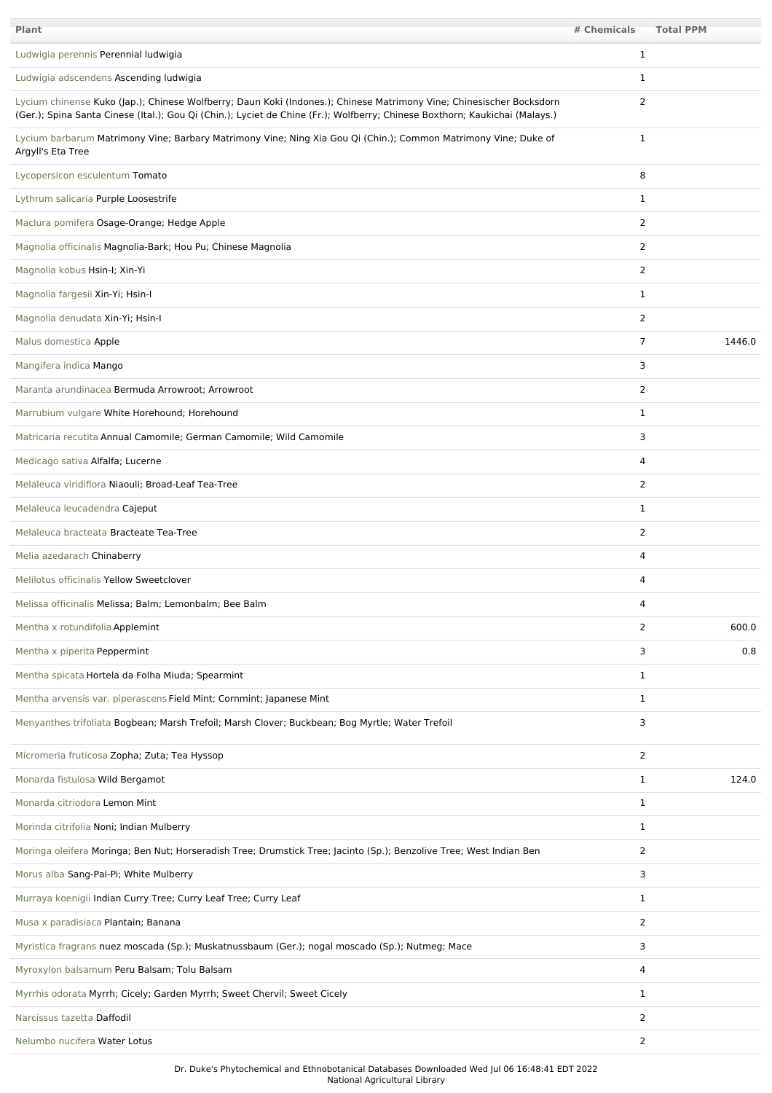| <b>Plant</b>                                                                                                                                                                                                                                        | # Chemicals    | <b>Total PPM</b> |
|-----------------------------------------------------------------------------------------------------------------------------------------------------------------------------------------------------------------------------------------------------|----------------|------------------|
| Ludwigia perennis Perennial ludwigia                                                                                                                                                                                                                | 1              |                  |
| Ludwigia adscendens Ascending ludwigia                                                                                                                                                                                                              | 1              |                  |
| Lycium chinense Kuko (Jap.); Chinese Wolfberry; Daun Koki (Indones.); Chinese Matrimony Vine; Chinesischer Bocksdorn<br>(Ger.); Spina Santa Cinese (Ital.); Gou Qi (Chin.); Lyciet de Chine (Fr.); Wolfberry; Chinese Boxthorn; Kaukichai (Malays.) | 2              |                  |
| Lycium barbarum Matrimony Vine; Barbary Matrimony Vine; Ning Xia Gou Qi (Chin.); Common Matrimony Vine; Duke of<br>Argyll's Eta Tree                                                                                                                | 1              |                  |
| Lycopersicon esculentum Tomato                                                                                                                                                                                                                      | 8              |                  |
| Lythrum salicaria Purple Loosestrife                                                                                                                                                                                                                | 1              |                  |
| Maclura pomifera Osage-Orange; Hedge Apple                                                                                                                                                                                                          | 2              |                  |
| Magnolia officinalis Magnolia-Bark; Hou Pu; Chinese Magnolia                                                                                                                                                                                        | 2              |                  |
| Magnolia kobus Hsin-I; Xin-Yi                                                                                                                                                                                                                       | 2              |                  |
| Magnolia fargesii Xin-Yi; Hsin-I                                                                                                                                                                                                                    | 1              |                  |
| Magnolia denudata Xin-Yi; Hsin-I                                                                                                                                                                                                                    | $\overline{2}$ |                  |
| Malus domestica Apple                                                                                                                                                                                                                               | $\overline{7}$ | 1446.0           |
| Mangifera indica Mango                                                                                                                                                                                                                              | 3              |                  |
| Maranta arundinacea Bermuda Arrowroot; Arrowroot                                                                                                                                                                                                    | $\overline{2}$ |                  |
| Marrubium vulgare White Horehound; Horehound                                                                                                                                                                                                        | 1              |                  |
| Matricaria recutita Annual Camomile; German Camomile; Wild Camomile                                                                                                                                                                                 | 3              |                  |
| Medicago sativa Alfalfa; Lucerne                                                                                                                                                                                                                    | 4              |                  |
| Melaleuca viridiflora Niaouli; Broad-Leaf Tea-Tree                                                                                                                                                                                                  | 2              |                  |
| Melaleuca leucadendra Cajeput                                                                                                                                                                                                                       | 1              |                  |
| Melaleuca bracteata Bracteate Tea-Tree                                                                                                                                                                                                              | 2              |                  |
| Melia azedarach Chinaberry                                                                                                                                                                                                                          | 4              |                  |
| Melilotus officinalis Yellow Sweetclover                                                                                                                                                                                                            | 4              |                  |
| Melissa officinalis Melissa; Balm; Lemonbalm; Bee Balm                                                                                                                                                                                              | 4              |                  |
| Mentha x rotundifolia Applemint                                                                                                                                                                                                                     | $\overline{2}$ | 600.0            |
| Mentha x piperita Peppermint                                                                                                                                                                                                                        | 3              | 0.8              |
| Mentha spicata Hortela da Folha Miuda; Spearmint                                                                                                                                                                                                    | $\mathbf{1}$   |                  |
| Mentha arvensis var. piperascens Field Mint; Cornmint; Japanese Mint                                                                                                                                                                                | $\mathbf{1}$   |                  |
| Menyanthes trifoliata Bogbean; Marsh Trefoil; Marsh Clover; Buckbean; Bog Myrtle; Water Trefoil                                                                                                                                                     | 3              |                  |
| Micromeria fruticosa Zopha; Zuta; Tea Hyssop                                                                                                                                                                                                        | $\overline{2}$ |                  |
| Monarda fistulosa Wild Bergamot                                                                                                                                                                                                                     | $\mathbf{1}$   | 124.0            |
| Monarda citriodora Lemon Mint                                                                                                                                                                                                                       | $\mathbf{1}$   |                  |
| Morinda citrifolia Noni; Indian Mulberry                                                                                                                                                                                                            | $\mathbf{1}$   |                  |
| Moringa oleifera Moringa; Ben Nut; Horseradish Tree; Drumstick Tree; Jacinto (Sp.); Benzolive Tree; West Indian Ben                                                                                                                                 | 2              |                  |
| Morus alba Sang-Pai-Pi; White Mulberry                                                                                                                                                                                                              | 3              |                  |
| Murraya koenigii Indian Curry Tree; Curry Leaf Tree; Curry Leaf                                                                                                                                                                                     | $\mathbf{1}$   |                  |
| Musa x paradisiaca Plantain; Banana                                                                                                                                                                                                                 | 2              |                  |
| Myristica fragrans nuez moscada (Sp.); Muskatnussbaum (Ger.); nogal moscado (Sp.); Nutmeg; Mace                                                                                                                                                     | 3              |                  |
| Myroxylon balsamum Peru Balsam; Tolu Balsam                                                                                                                                                                                                         | 4              |                  |
| Myrrhis odorata Myrrh; Cicely; Garden Myrrh; Sweet Chervil; Sweet Cicely                                                                                                                                                                            | $\mathbf{1}$   |                  |
| Narcissus tazetta Daffodil                                                                                                                                                                                                                          | $\overline{2}$ |                  |
| Nelumbo nucifera Water Lotus                                                                                                                                                                                                                        | $\overline{2}$ |                  |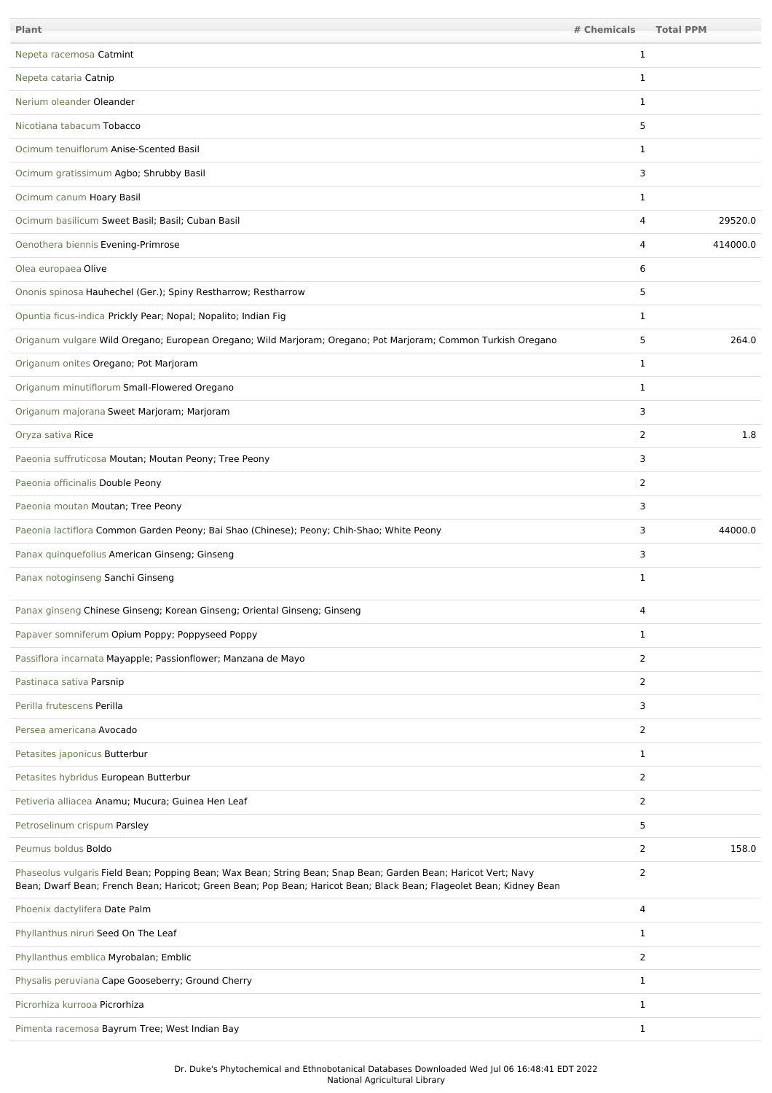| Plant                                                                                                                                                                                                                                 | # Chemicals    | <b>Total PPM</b> |
|---------------------------------------------------------------------------------------------------------------------------------------------------------------------------------------------------------------------------------------|----------------|------------------|
| Nepeta racemosa Catmint                                                                                                                                                                                                               | 1              |                  |
| Nepeta cataria Catnip                                                                                                                                                                                                                 | 1              |                  |
| Nerium oleander Oleander                                                                                                                                                                                                              | $\mathbf{1}$   |                  |
| Nicotiana tabacum Tobacco                                                                                                                                                                                                             | 5              |                  |
| Ocimum tenuiflorum Anise-Scented Basil                                                                                                                                                                                                | 1              |                  |
| Ocimum gratissimum Agbo; Shrubby Basil                                                                                                                                                                                                | 3              |                  |
| Ocimum canum Hoary Basil                                                                                                                                                                                                              | 1              |                  |
| Ocimum basilicum Sweet Basil; Basil; Cuban Basil                                                                                                                                                                                      | 4              | 29520.0          |
| Oenothera biennis Evening-Primrose                                                                                                                                                                                                    | 4              | 414000.0         |
| Olea europaea Olive                                                                                                                                                                                                                   | 6              |                  |
| Ononis spinosa Hauhechel (Ger.); Spiny Restharrow; Restharrow                                                                                                                                                                         | 5              |                  |
| Opuntia ficus-indica Prickly Pear; Nopal; Nopalito; Indian Fig                                                                                                                                                                        | $\mathbf{1}$   |                  |
| Origanum vulgare Wild Oregano; European Oregano; Wild Marjoram; Oregano; Pot Marjoram; Common Turkish Oregano                                                                                                                         | 5              | 264.0            |
| Origanum onites Oregano; Pot Marjoram                                                                                                                                                                                                 | 1              |                  |
| Origanum minutiflorum Small-Flowered Oregano                                                                                                                                                                                          | 1              |                  |
| Origanum majorana Sweet Marjoram; Marjoram                                                                                                                                                                                            | 3              |                  |
| Oryza sativa Rice                                                                                                                                                                                                                     | 2              | 1.8              |
| Paeonia suffruticosa Moutan; Moutan Peony; Tree Peony                                                                                                                                                                                 | 3              |                  |
| Paeonia officinalis Double Peony                                                                                                                                                                                                      | 2              |                  |
| Paeonia moutan Moutan; Tree Peony                                                                                                                                                                                                     | 3              |                  |
| Paeonia lactiflora Common Garden Peony; Bai Shao (Chinese); Peony; Chih-Shao; White Peony                                                                                                                                             | 3              | 44000.0          |
| Panax quinquefolius American Ginseng; Ginseng                                                                                                                                                                                         | 3              |                  |
| Panax notoginseng Sanchi Ginseng                                                                                                                                                                                                      | 1              |                  |
| Panax ginseng Chinese Ginseng; Korean Ginseng; Oriental Ginseng; Ginseng                                                                                                                                                              | 4              |                  |
| Papaver somniferum Opium Poppy; Poppyseed Poppy                                                                                                                                                                                       | 1              |                  |
| Passiflora incarnata Mayapple; Passionflower; Manzana de Mayo                                                                                                                                                                         | 2              |                  |
| Pastinaca sativa Parsnip                                                                                                                                                                                                              | $\overline{2}$ |                  |
| Perilla frutescens Perilla                                                                                                                                                                                                            | 3              |                  |
| Persea americana Avocado                                                                                                                                                                                                              | $\overline{2}$ |                  |
| Petasites japonicus Butterbur                                                                                                                                                                                                         | 1              |                  |
| Petasites hybridus European Butterbur                                                                                                                                                                                                 | 2              |                  |
| Petiveria alliacea Anamu; Mucura; Guinea Hen Leaf                                                                                                                                                                                     | $\overline{2}$ |                  |
| Petroselinum crispum Parsley                                                                                                                                                                                                          | 5              |                  |
| Peumus boldus Boldo                                                                                                                                                                                                                   | 2              | 158.0            |
| Phaseolus vulgaris Field Bean; Popping Bean; Wax Bean; String Bean; Snap Bean; Garden Bean; Haricot Vert; Navy<br>Bean; Dwarf Bean; French Bean; Haricot; Green Bean; Pop Bean; Haricot Bean; Black Bean; Flageolet Bean; Kidney Bean | 2              |                  |
| Phoenix dactylifera Date Palm                                                                                                                                                                                                         | 4              |                  |
| Phyllanthus niruri Seed On The Leaf                                                                                                                                                                                                   | $\mathbf{1}$   |                  |
| Phyllanthus emblica Myrobalan; Emblic                                                                                                                                                                                                 | 2              |                  |
| Physalis peruviana Cape Gooseberry; Ground Cherry                                                                                                                                                                                     | $\mathbf{1}$   |                  |
| Picrorhiza kurrooa Picrorhiza                                                                                                                                                                                                         | $\mathbf{1}$   |                  |
| Pimenta racemosa Bayrum Tree; West Indian Bay                                                                                                                                                                                         | $\mathbf{1}$   |                  |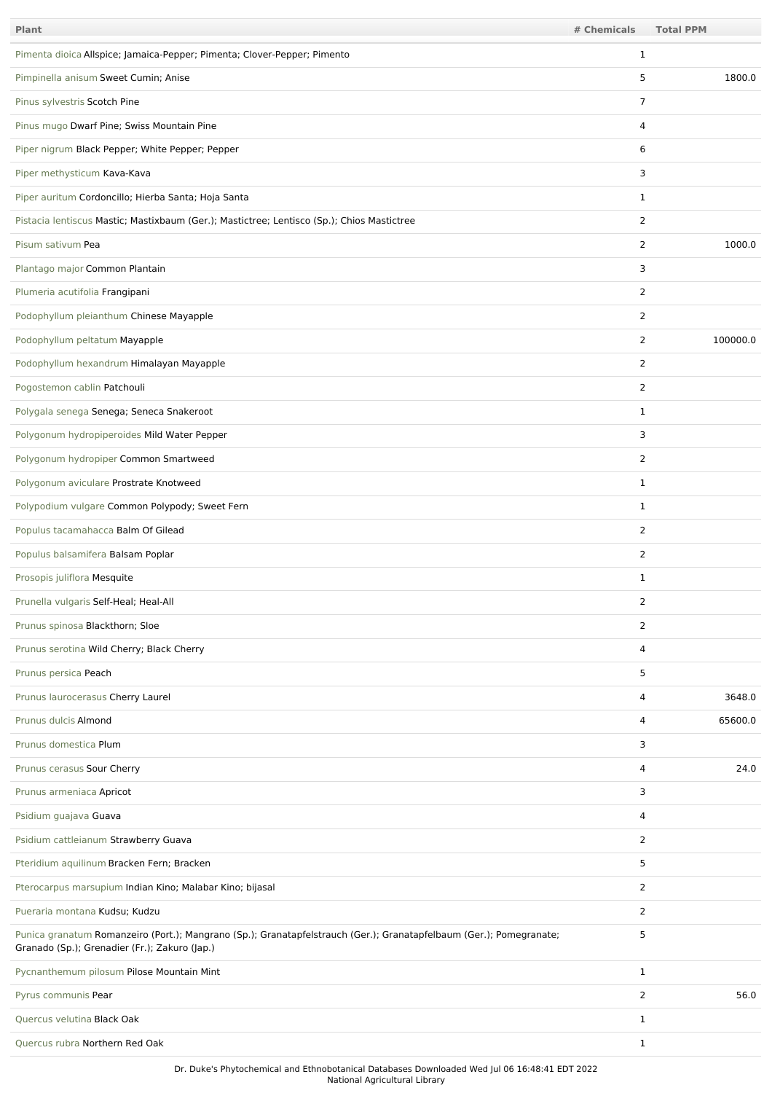| Plant                                                                                                                                                                | # Chemicals    | <b>Total PPM</b> |
|----------------------------------------------------------------------------------------------------------------------------------------------------------------------|----------------|------------------|
| Pimenta dioica Allspice; Jamaica-Pepper; Pimenta; Clover-Pepper; Pimento                                                                                             | 1              |                  |
| Pimpinella anisum Sweet Cumin; Anise                                                                                                                                 | 5              | 1800.0           |
| Pinus sylvestris Scotch Pine                                                                                                                                         | $\overline{7}$ |                  |
| Pinus mugo Dwarf Pine; Swiss Mountain Pine                                                                                                                           | 4              |                  |
| Piper nigrum Black Pepper; White Pepper; Pepper                                                                                                                      | 6              |                  |
| Piper methysticum Kava-Kava                                                                                                                                          | 3              |                  |
| Piper auritum Cordoncillo; Hierba Santa; Hoja Santa                                                                                                                  | 1              |                  |
| Pistacia lentiscus Mastic; Mastixbaum (Ger.); Mastictree; Lentisco (Sp.); Chios Mastictree                                                                           | 2              |                  |
| Pisum sativum Pea                                                                                                                                                    | $\overline{2}$ | 1000.0           |
| Plantago major Common Plantain                                                                                                                                       | 3              |                  |
| Plumeria acutifolia Frangipani                                                                                                                                       | 2              |                  |
| Podophyllum pleianthum Chinese Mayapple                                                                                                                              | 2              |                  |
| Podophyllum peltatum Mayapple                                                                                                                                        | $\overline{2}$ | 100000.0         |
| Podophyllum hexandrum Himalayan Mayapple                                                                                                                             | $\overline{2}$ |                  |
| Pogostemon cablin Patchouli                                                                                                                                          | $\overline{2}$ |                  |
| Polygala senega Senega; Seneca Snakeroot                                                                                                                             | $\mathbf{1}$   |                  |
| Polygonum hydropiperoides Mild Water Pepper                                                                                                                          | 3              |                  |
| Polygonum hydropiper Common Smartweed                                                                                                                                | $\overline{2}$ |                  |
| Polygonum aviculare Prostrate Knotweed                                                                                                                               | $\mathbf{1}$   |                  |
| Polypodium vulgare Common Polypody; Sweet Fern                                                                                                                       | $\mathbf{1}$   |                  |
| Populus tacamahacca Balm Of Gilead                                                                                                                                   | $\overline{2}$ |                  |
| Populus balsamifera Balsam Poplar                                                                                                                                    | $\overline{2}$ |                  |
| Prosopis juliflora Mesquite                                                                                                                                          | 1              |                  |
| Prunella vulgaris Self-Heal; Heal-All                                                                                                                                | 2              |                  |
| Prunus spinosa Blackthorn; Sloe                                                                                                                                      | 2              |                  |
| Prunus serotina Wild Cherry; Black Cherry                                                                                                                            | 4              |                  |
| Prunus persica Peach                                                                                                                                                 | 5              |                  |
| Prunus laurocerasus Cherry Laurel                                                                                                                                    | 4              | 3648.0           |
| Prunus dulcis Almond                                                                                                                                                 | 4              | 65600.0          |
| Prunus domestica Plum                                                                                                                                                | 3              |                  |
| Prunus cerasus Sour Cherry                                                                                                                                           | 4              | 24.0             |
| Prunus armeniaca Apricot                                                                                                                                             | 3              |                  |
| Psidium guajava Guava                                                                                                                                                | 4              |                  |
| Psidium cattleianum Strawberry Guava                                                                                                                                 | 2              |                  |
| Pteridium aquilinum Bracken Fern; Bracken                                                                                                                            | 5              |                  |
| Pterocarpus marsupium Indian Kino; Malabar Kino; bijasal                                                                                                             | $\overline{2}$ |                  |
| Pueraria montana Kudsu; Kudzu                                                                                                                                        | 2              |                  |
| Punica granatum Romanzeiro (Port.); Mangrano (Sp.); Granatapfelstrauch (Ger.); Granatapfelbaum (Ger.); Pomegranate;<br>Granado (Sp.); Grenadier (Fr.); Zakuro (Jap.) | 5              |                  |
| Pycnanthemum pilosum Pilose Mountain Mint                                                                                                                            | $\mathbf{1}$   |                  |
| Pyrus communis Pear                                                                                                                                                  | 2              | 56.0             |
| Quercus velutina Black Oak                                                                                                                                           | $\mathbf{1}$   |                  |
| Quercus rubra Northern Red Oak                                                                                                                                       | $\mathbf{1}$   |                  |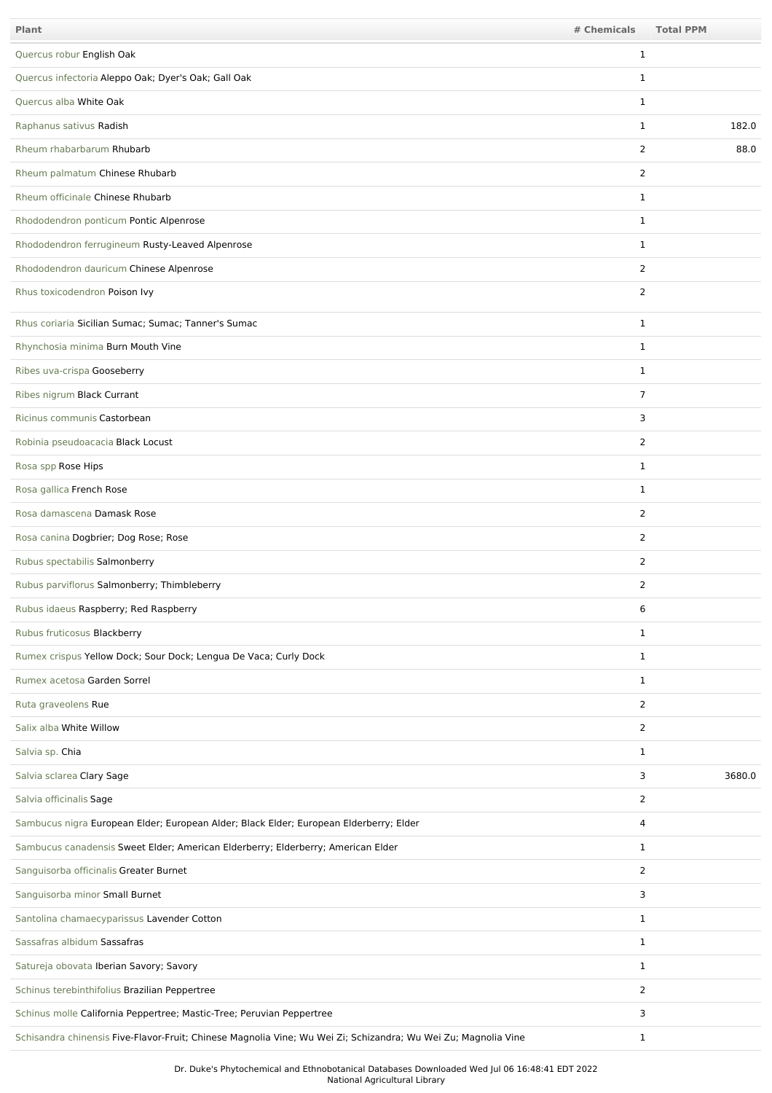| Plant                                                                                                          | # Chemicals    | <b>Total PPM</b> |
|----------------------------------------------------------------------------------------------------------------|----------------|------------------|
| Quercus robur English Oak                                                                                      | $\mathbf{1}$   |                  |
| Quercus infectoria Aleppo Oak; Dyer's Oak; Gall Oak                                                            | 1              |                  |
| Quercus alba White Oak                                                                                         | $\mathbf{1}$   |                  |
| Raphanus sativus Radish                                                                                        | 1              | 182.0            |
| Rheum rhabarbarum Rhubarb                                                                                      | 2              | 88.0             |
| Rheum palmatum Chinese Rhubarb                                                                                 | 2              |                  |
| Rheum officinale Chinese Rhubarb                                                                               | $\mathbf{1}$   |                  |
| Rhododendron ponticum Pontic Alpenrose                                                                         | $\mathbf{1}$   |                  |
| Rhododendron ferrugineum Rusty-Leaved Alpenrose                                                                | $\mathbf{1}$   |                  |
| Rhododendron dauricum Chinese Alpenrose                                                                        | 2              |                  |
| Rhus toxicodendron Poison Ivy                                                                                  | $\overline{2}$ |                  |
| Rhus coriaria Sicilian Sumac; Sumac; Tanner's Sumac                                                            | $\mathbf{1}$   |                  |
| Rhynchosia minima Burn Mouth Vine                                                                              | $\mathbf{1}$   |                  |
| Ribes uva-crispa Gooseberry                                                                                    | $\mathbf{1}$   |                  |
| Ribes nigrum Black Currant                                                                                     | $\overline{7}$ |                  |
| Ricinus communis Castorbean                                                                                    | 3              |                  |
| Robinia pseudoacacia Black Locust                                                                              | $\overline{2}$ |                  |
| Rosa spp Rose Hips                                                                                             | $\mathbf{1}$   |                  |
| Rosa gallica French Rose                                                                                       | $\mathbf{1}$   |                  |
| Rosa damascena Damask Rose                                                                                     | 2              |                  |
| Rosa canina Dogbrier; Dog Rose; Rose                                                                           | $\overline{2}$ |                  |
| Rubus spectabilis Salmonberry                                                                                  | $\mathbf{2}$   |                  |
| Rubus parviflorus Salmonberry; Thimbleberry                                                                    | $\overline{2}$ |                  |
| Rubus idaeus Raspberry; Red Raspberry                                                                          | 6              |                  |
| Rubus fruticosus Blackberry                                                                                    | 1              |                  |
| Rumex crispus Yellow Dock; Sour Dock; Lengua De Vaca; Curly Dock                                               | $\mathbf{1}$   |                  |
| Rumex acetosa Garden Sorrel                                                                                    | $\mathbf{1}$   |                  |
| Ruta graveolens Rue                                                                                            | $\overline{2}$ |                  |
| Salix alba White Willow                                                                                        | $\overline{2}$ |                  |
| Salvia sp. Chia                                                                                                | $\mathbf{1}$   |                  |
| Salvia sclarea Clary Sage                                                                                      | 3              | 3680.0           |
| Salvia officinalis Sage                                                                                        | $\overline{2}$ |                  |
| Sambucus nigra European Elder; European Alder; Black Elder; European Elderberry; Elder                         | 4              |                  |
| Sambucus canadensis Sweet Elder; American Elderberry; Elderberry; American Elder                               | $\mathbf{1}$   |                  |
| Sanguisorba officinalis Greater Burnet                                                                         | $\overline{2}$ |                  |
| Sanguisorba minor Small Burnet                                                                                 | 3              |                  |
| Santolina chamaecyparissus Lavender Cotton                                                                     | $\mathbf{1}$   |                  |
| Sassafras albidum Sassafras                                                                                    | $\mathbf{1}$   |                  |
| Satureja obovata Iberian Savory; Savory                                                                        | $\mathbf{1}$   |                  |
| Schinus terebinthifolius Brazilian Peppertree                                                                  | $\overline{2}$ |                  |
| Schinus molle California Peppertree; Mastic-Tree; Peruvian Peppertree                                          | 3              |                  |
| Schisandra chinensis Five-Flavor-Fruit; Chinese Magnolia Vine; Wu Wei Zi; Schizandra; Wu Wei Zu; Magnolia Vine | 1              |                  |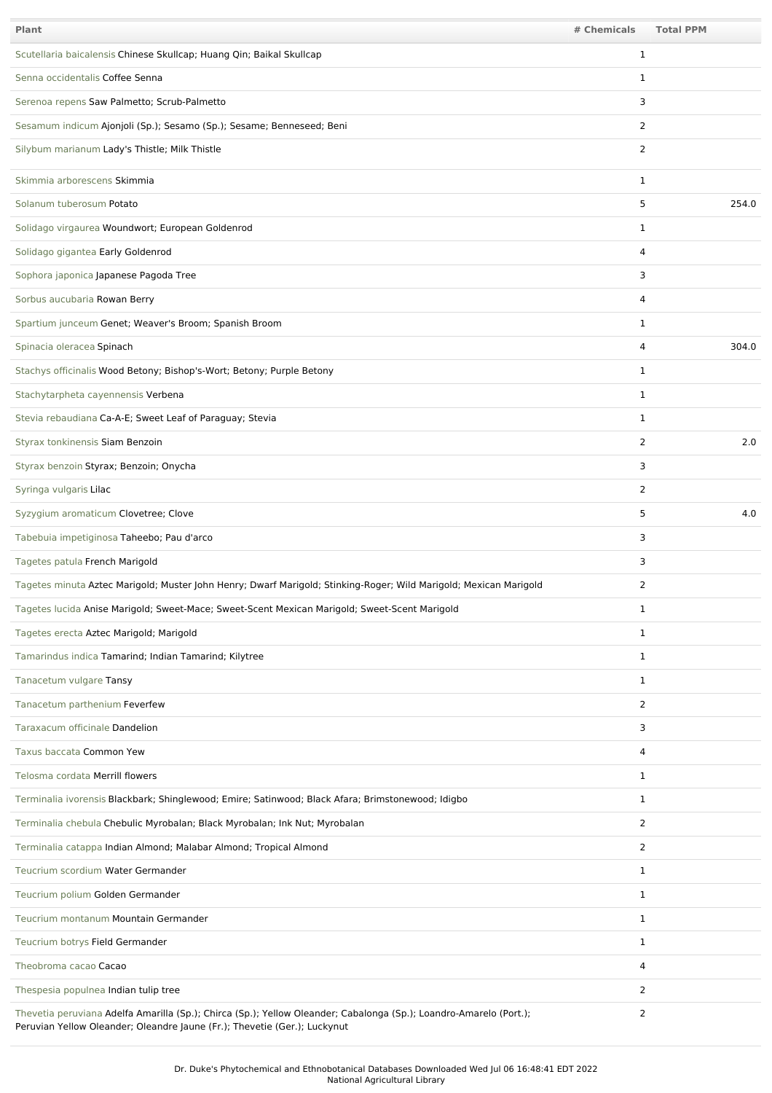| Plant                                                                                                                                                                                           | # Chemicals    | <b>Total PPM</b> |
|-------------------------------------------------------------------------------------------------------------------------------------------------------------------------------------------------|----------------|------------------|
| Scutellaria baicalensis Chinese Skullcap; Huang Qin; Baikal Skullcap                                                                                                                            | 1              |                  |
| Senna occidentalis Coffee Senna                                                                                                                                                                 | 1              |                  |
| Serenoa repens Saw Palmetto; Scrub-Palmetto                                                                                                                                                     | 3              |                  |
| Sesamum indicum Ajonjoli (Sp.); Sesamo (Sp.); Sesame; Benneseed; Beni                                                                                                                           | $\overline{2}$ |                  |
| Silybum marianum Lady's Thistle; Milk Thistle                                                                                                                                                   | $\overline{2}$ |                  |
| Skimmia arborescens Skimmia                                                                                                                                                                     | 1              |                  |
| Solanum tuberosum Potato                                                                                                                                                                        | 5              | 254.0            |
| Solidago virgaurea Woundwort; European Goldenrod                                                                                                                                                | 1              |                  |
| Solidago gigantea Early Goldenrod                                                                                                                                                               | 4              |                  |
| Sophora japonica Japanese Pagoda Tree                                                                                                                                                           | 3              |                  |
| Sorbus aucubaria Rowan Berry                                                                                                                                                                    | 4              |                  |
| Spartium junceum Genet; Weaver's Broom; Spanish Broom                                                                                                                                           | 1              |                  |
| Spinacia oleracea Spinach                                                                                                                                                                       | 4              | 304.0            |
| Stachys officinalis Wood Betony; Bishop's-Wort; Betony; Purple Betony                                                                                                                           | 1              |                  |
| Stachytarpheta cayennensis Verbena                                                                                                                                                              | $\mathbf{1}$   |                  |
| Stevia rebaudiana Ca-A-E; Sweet Leaf of Paraguay; Stevia                                                                                                                                        | 1              |                  |
| Styrax tonkinensis Siam Benzoin                                                                                                                                                                 | 2              | 2.0              |
| Styrax benzoin Styrax; Benzoin; Onycha                                                                                                                                                          | 3              |                  |
| Syringa vulgaris Lilac                                                                                                                                                                          | $\overline{2}$ |                  |
| Syzygium aromaticum Clovetree; Clove                                                                                                                                                            | 5              | 4.0              |
| Tabebuia impetiginosa Taheebo; Pau d'arco                                                                                                                                                       | 3              |                  |
| Tagetes patula French Marigold                                                                                                                                                                  | 3              |                  |
| Tagetes minuta Aztec Marigold; Muster John Henry; Dwarf Marigold; Stinking-Roger; Wild Marigold; Mexican Marigold                                                                               | $\overline{2}$ |                  |
| Tagetes lucida Anise Marigold; Sweet-Mace; Sweet-Scent Mexican Marigold; Sweet-Scent Marigold                                                                                                   | 1              |                  |
| Tagetes erecta Aztec Marigold; Marigold                                                                                                                                                         | 1              |                  |
| Tamarindus indica Tamarind; Indian Tamarind; Kilytree                                                                                                                                           | $\mathbf{1}$   |                  |
| Tanacetum vulgare Tansy                                                                                                                                                                         | $\mathbf{1}$   |                  |
| Tanacetum parthenium Feverfew                                                                                                                                                                   | 2              |                  |
| Taraxacum officinale Dandelion                                                                                                                                                                  | 3              |                  |
| Taxus baccata Common Yew                                                                                                                                                                        | 4              |                  |
| Telosma cordata Merrill flowers                                                                                                                                                                 | $\mathbf{1}$   |                  |
| Terminalia ivorensis Blackbark; Shinglewood; Emire; Satinwood; Black Afara; Brimstonewood; Idigbo                                                                                               | $\mathbf{1}$   |                  |
| Terminalia chebula Chebulic Myrobalan; Black Myrobalan; Ink Nut; Myrobalan                                                                                                                      | $\overline{2}$ |                  |
| Terminalia catappa Indian Almond; Malabar Almond; Tropical Almond                                                                                                                               | $\overline{2}$ |                  |
| Teucrium scordium Water Germander                                                                                                                                                               | $\mathbf{1}$   |                  |
| Teucrium polium Golden Germander                                                                                                                                                                | $\mathbf{1}$   |                  |
| Teucrium montanum Mountain Germander                                                                                                                                                            | $\mathbf{1}$   |                  |
| Teucrium botrys Field Germander                                                                                                                                                                 | $\mathbf{1}$   |                  |
| Theobroma cacao Cacao                                                                                                                                                                           | 4              |                  |
| Thespesia populnea Indian tulip tree                                                                                                                                                            | 2              |                  |
| Thevetia peruviana Adelfa Amarilla (Sp.); Chirca (Sp.); Yellow Oleander; Cabalonga (Sp.); Loandro-Amarelo (Port.);<br>Peruvian Yellow Oleander; Oleandre Jaune (Fr.); Thevetie (Ger.); Luckynut | $\overline{2}$ |                  |